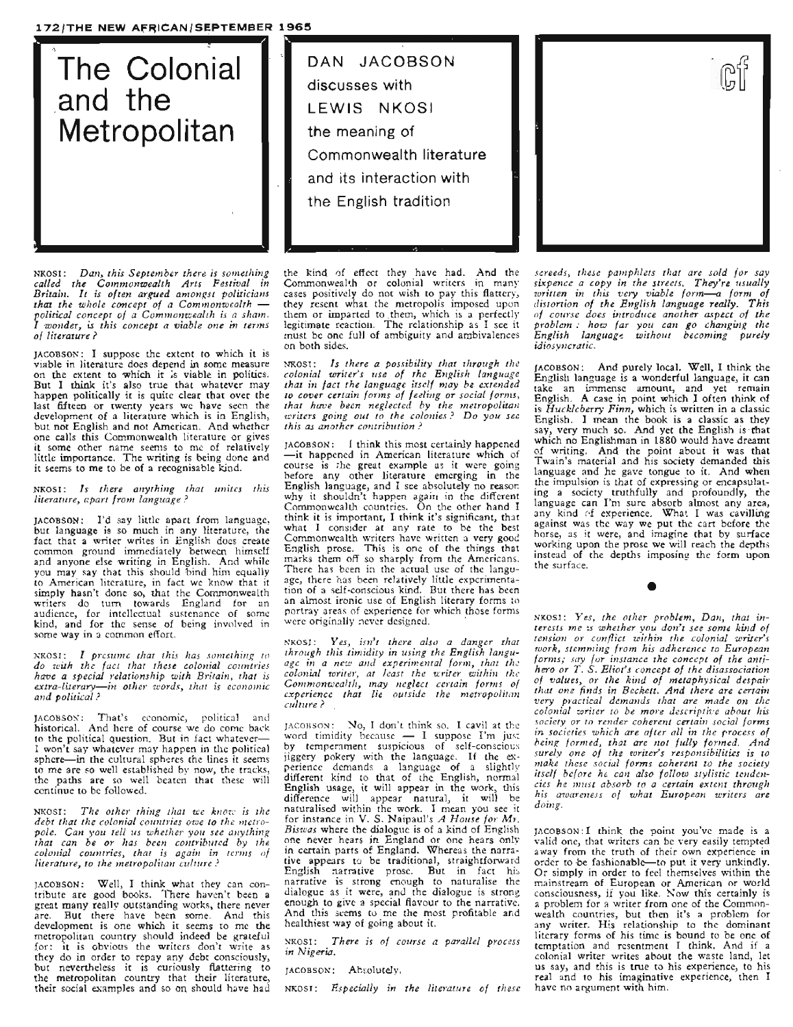## **172/THE NEW AFRICAN/SEPTEMBER 1965**



NKOSI: *Dan, this September there is something called the COlnmonwealth Arts Festival in Britain. It is often argued amongst politicians that the whole concept of a Commonwealth political concept of a Comlnonwealth is a sha1n. I wonder, is this concept a viable one in terms of literature? .*

JACOBSON: I suppose the extent to which it is on the extent to which it *is* viable in politics. But I think it's also true that whatever may happen politically it is quite clear that over the last fifteen or twenty years wc have seen the development of a literature which is in English, but not English and not American. And whether one calls this Commonwealth literature or gives it some other name seems to me of relatively little importance. The writing is being done and it seems to me to be of a recognisable kind.

NKOSI: *Is thel"e anything that unites this literature, apart from language?* 

JACOBSON: I'd say little apart from language, but language is so much in any literature, the<br>fact that a writer writes in English does create common ground immediately between himself and anyone else writing in English. And while you may say that this should bind him equally to American literature, in fact we know that it simply hasn't done *so,* that the Commonwealth writers do turn towards England for an audience, for intellectual sustenance of some kind, and for the sense of being involved in some way in <sup>a</sup> common effort.

NKOSI.: *I pl'esilme that this has something to do wuh the fact that these colonial countries have a special l'elationship w'ith Britain, that is extra-literary-in other words, that is econ01nic and political?*

JACOBSON: That's economic, political and historical. And here of course we do come back to the political question. But in fact whatever-I won't say whatever may happen in the political sphere—in the cultural spheres the lines it seems to me are so well established by now, the tracks, the paths are so well beaten that these will<br>continue to be followed.

NKOSI: *The other thing that we know is the debt that the colonial countries owe to the nletropole. Can you tell us whether you see anything that can be* 01' *has been contributed by the colonial countries, that is again in tenns of literature, to the metropolitan culture?*

JACOBSON: Well, <sup>I</sup> think what they can con- tribute are good books. There haven't been <sup>a</sup> great many really outstanding works, there never are. But there have been some. And this development is one which it seems to me the metropolitan country should indeed be grateful for: it is obvious the writers don't write as they do in order to repay any debt consciously, they do in order to repay any debt consciously,<br>but nevertheless it is curiously flattering to the metropolitan country that their literature, their social examples and so on should have had

~--------. discusses with **the meaning of Commonwealth literature** and its **interaction with the English** tradition-LEWIS NKOSI

the kind of effect they have had. And the Commonweal~h or colonial writers in many cases positively do not wish to pay this flattery, they resent what the metropolis imposed upon them or imparted to .them, which is a perfectly legitimate reaction. The relationship as I see it must be one full of ambiguity and ambivalences on both sides.

NROSI: Is there a possibility that through the<br>colonial writer's use of the English language<br>that in fact the language itself may be extended *to cover certain forms of feeling or social forms, that hcrve been neglected by the metropolitan v.n·iters going out to the colonies? Do you see this as another contribution?*

JACOBSON: I think this most certainly happened -it happened in American literature which of course is the great example as it were going before any other literature emerging in the<br>English language, and I see absolutely no reason English language, and <sup>I</sup> see absolutely no reason why it shouldn't happen again in the different Commonwealth countries. On the other hand I think it is important, I think it's significant, that what I consider at any rate to be the best Commonwealth writers have written a very good<br>English prose. This is one of the things that English prose. This is one of the things that marks them off so sharply from the Americans. There has been in the actual use of the language, there has been relatively little experimentation of <sup>a</sup> self-conscious kind. But there has been an almost ironic use of English literary forms to portray areas of experience for which those forms were originally never designed. .

NKOSI: *Yes, isn't there also a danger that through this .timidity in using the English language in a new and experimental fOlonz, that the colonial writel', at least the writer within the Comrnonwealth, may neglect cel·tain forms of experience that lie outside the metropolitan C'..I.Zture?*

JACOBSON: No, I don't think so. I cavil at the word timidity because - I suppose I'm just by temperament suspicious of self-conscious jiggery pokery with the language. If the ex- perience demands <sup>a</sup> language of <sup>a</sup> slightly different kind to that of the English, normal English usage, it will appear in the work, this<br>difference will appear natural, it will be naturalised within the work. I mean you see it for instance in V. S. Naipaul's *A House for MT. Biswas* where the dialogue is of <sup>a</sup> kind of English one never hears in England or one hears onIv in certain parts of England. Whereas the narra- tive appears to be traditional, straightforward English narrative prose. But in fact his narrative is strong enough to naturalise the dialogue as it were, and the dialogue is strong enough to give a special flavour to the narrative. And this seems to me the most profitable and healthiest 'way of going about it.

NKOSI: *There is of course a parallel p'rocess in Nigeria.*

JACOBSON: Absolutely.

NKOSI: *Especially in the literature of these* 



*screeds, these pal1zphlets that are sold for say sixpence a copy in the streets. They're usually written in this very viable form-a form of distortion of the English language really\_ This' of COUl'se does introduce another aspect of the: problem: how far you can go c.hanging the* 1!~glish l~nguage *without becoming purely idiosyncratic.* 

JACOBSON: And purely local. Well, I think' the English language is <sup>a</sup> wonderful language, it can take an immense amount, and yet remain English. A case in point which I often think of is *Huckleberry Finn,* which is written in a.classic English. I mean the book is a classic' as they say, very much so. And yet the English is'that which no Englishman in 1880 would have dreamt of writing. And the point about it was that Twain's material and his society demanded this language and he gave tongue to it. And when the impulsion is that of expressing or encapsulating a society truthfully and profoundly, the language can I'm sure absorb almost any area,<br>any kind of experience. What I was cavilling against was the way we put the cart before the horse, as it were, and imagine that by surface working upon the prose we will reach the depths instead of the depths imposing the form upon the surface.

NKOSI : *Yes, the other problem, Dan, that interests 1ne tS whether you don't see some kind of tension or conflict within the colonial writer's 'Work, stem,ning frorn his adherence to EUT.opean forms.; say for instance the concep.t of the antihero or* T. S. *Eliot's concept of the disassociation of values, or the kind of metaphysical despair that one finds in Beckett. And there are certain very pl'actical demands that are made on the colonial writer to be more descriptive about his.* ~ociety. *0: to* re~lder- *coherent certain social forms zn soczettes whzch are after all in the process of being forn'led, that are not fully formed. And surely one of the writer's responsibilities is to ,!zake these social forms coherent to the society ttself before he can also follow stylistic tenden*ci~s *he 111USt absorb to a certain extent through htS awareness of what European writers are doing.*

•

JACOBSON: I think the point you've made is a valid one, that writers can be very easily tempted away from the truth of their own experience in order to be fashionable-to put it very unkindly. Or simply in order to feel themselves within the mainstream of European or American or world<br>consciousness, if you like. Now this certainly is a problem for a writer from one of the Commonwealth countries, but then it's a problem for any writer. His relationship to the dominant literary forms of his time is bound to be one of temptation and resentment <sup>I</sup> think. And if <sup>a</sup> colonial writer writes about the waste land, let us say, and this is true to his experience, to his real and to his imaginative experience, then I have no argument with him.